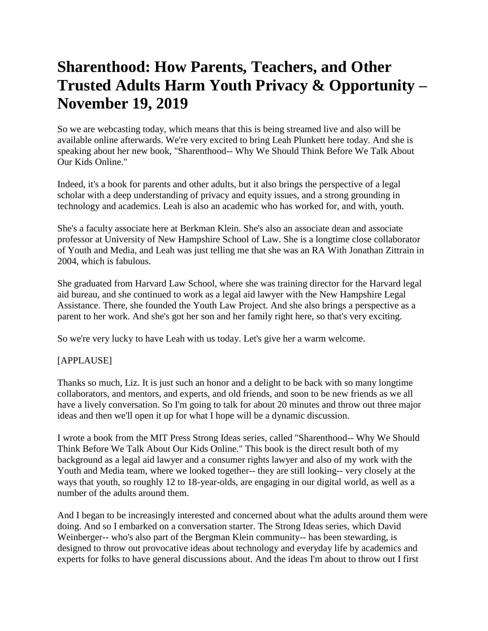## **Sharenthood: How Parents, Teachers, and Other Trusted Adults Harm Youth Privacy & Opportunity – November 19, 2019**

So we are webcasting today, which means that this is being streamed live and also will be available online afterwards. We're very excited to bring Leah Plunkett here today. And she is speaking about her new book, "Sharenthood-- Why We Should Think Before We Talk About Our Kids Online."

Indeed, it's a book for parents and other adults, but it also brings the perspective of a legal scholar with a deep understanding of privacy and equity issues, and a strong grounding in technology and academics. Leah is also an academic who has worked for, and with, youth.

She's a faculty associate here at Berkman Klein. She's also an associate dean and associate professor at University of New Hampshire School of Law. She is a longtime close collaborator of Youth and Media, and Leah was just telling me that she was an RA With Jonathan Zittrain in 2004, which is fabulous.

She graduated from Harvard Law School, where she was training director for the Harvard legal aid bureau, and she continued to work as a legal aid lawyer with the New Hampshire Legal Assistance. There, she founded the Youth Law Project. And she also brings a perspective as a parent to her work. And she's got her son and her family right here, so that's very exciting.

So we're very lucky to have Leah with us today. Let's give her a warm welcome.

## [APPLAUSE]

Thanks so much, Liz. It is just such an honor and a delight to be back with so many longtime collaborators, and mentors, and experts, and old friends, and soon to be new friends as we all have a lively conversation. So I'm going to talk for about 20 minutes and throw out three major ideas and then we'll open it up for what I hope will be a dynamic discussion.

I wrote a book from the MIT Press Strong Ideas series, called "Sharenthood-- Why We Should Think Before We Talk About Our Kids Online." This book is the direct result both of my background as a legal aid lawyer and a consumer rights lawyer and also of my work with the Youth and Media team, where we looked together-- they are still looking-- very closely at the ways that youth, so roughly 12 to 18-year-olds, are engaging in our digital world, as well as a number of the adults around them.

And I began to be increasingly interested and concerned about what the adults around them were doing. And so I embarked on a conversation starter. The Strong Ideas series, which David Weinberger-- who's also part of the Bergman Klein community-- has been stewarding, is designed to throw out provocative ideas about technology and everyday life by academics and experts for folks to have general discussions about. And the ideas I'm about to throw out I first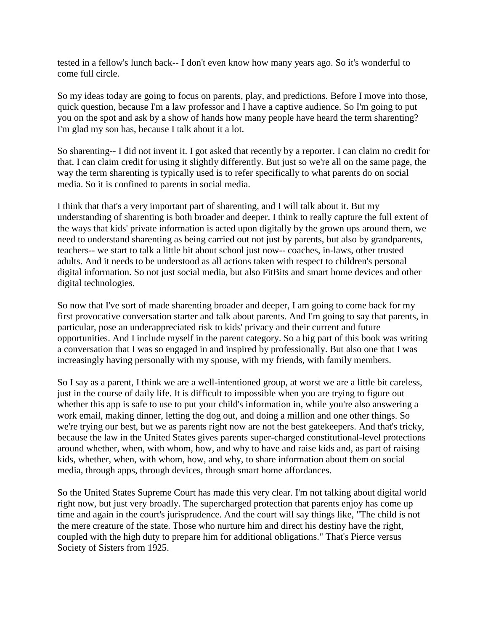tested in a fellow's lunch back-- I don't even know how many years ago. So it's wonderful to come full circle.

So my ideas today are going to focus on parents, play, and predictions. Before I move into those, quick question, because I'm a law professor and I have a captive audience. So I'm going to put you on the spot and ask by a show of hands how many people have heard the term sharenting? I'm glad my son has, because I talk about it a lot.

So sharenting-- I did not invent it. I got asked that recently by a reporter. I can claim no credit for that. I can claim credit for using it slightly differently. But just so we're all on the same page, the way the term sharenting is typically used is to refer specifically to what parents do on social media. So it is confined to parents in social media.

I think that that's a very important part of sharenting, and I will talk about it. But my understanding of sharenting is both broader and deeper. I think to really capture the full extent of the ways that kids' private information is acted upon digitally by the grown ups around them, we need to understand sharenting as being carried out not just by parents, but also by grandparents, teachers-- we start to talk a little bit about school just now-- coaches, in-laws, other trusted adults. And it needs to be understood as all actions taken with respect to children's personal digital information. So not just social media, but also FitBits and smart home devices and other digital technologies.

So now that I've sort of made sharenting broader and deeper, I am going to come back for my first provocative conversation starter and talk about parents. And I'm going to say that parents, in particular, pose an underappreciated risk to kids' privacy and their current and future opportunities. And I include myself in the parent category. So a big part of this book was writing a conversation that I was so engaged in and inspired by professionally. But also one that I was increasingly having personally with my spouse, with my friends, with family members.

So I say as a parent, I think we are a well-intentioned group, at worst we are a little bit careless, just in the course of daily life. It is difficult to impossible when you are trying to figure out whether this app is safe to use to put your child's information in, while you're also answering a work email, making dinner, letting the dog out, and doing a million and one other things. So we're trying our best, but we as parents right now are not the best gatekeepers. And that's tricky, because the law in the United States gives parents super-charged constitutional-level protections around whether, when, with whom, how, and why to have and raise kids and, as part of raising kids, whether, when, with whom, how, and why, to share information about them on social media, through apps, through devices, through smart home affordances.

So the United States Supreme Court has made this very clear. I'm not talking about digital world right now, but just very broadly. The supercharged protection that parents enjoy has come up time and again in the court's jurisprudence. And the court will say things like, "The child is not the mere creature of the state. Those who nurture him and direct his destiny have the right, coupled with the high duty to prepare him for additional obligations." That's Pierce versus Society of Sisters from 1925.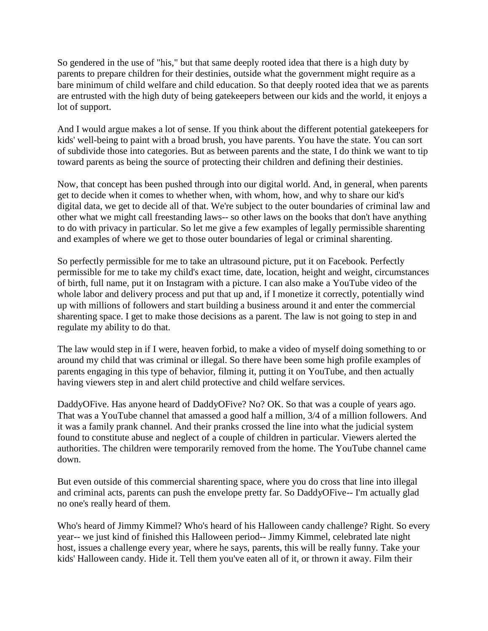So gendered in the use of "his," but that same deeply rooted idea that there is a high duty by parents to prepare children for their destinies, outside what the government might require as a bare minimum of child welfare and child education. So that deeply rooted idea that we as parents are entrusted with the high duty of being gatekeepers between our kids and the world, it enjoys a lot of support.

And I would argue makes a lot of sense. If you think about the different potential gatekeepers for kids' well-being to paint with a broad brush, you have parents. You have the state. You can sort of subdivide those into categories. But as between parents and the state, I do think we want to tip toward parents as being the source of protecting their children and defining their destinies.

Now, that concept has been pushed through into our digital world. And, in general, when parents get to decide when it comes to whether when, with whom, how, and why to share our kid's digital data, we get to decide all of that. We're subject to the outer boundaries of criminal law and other what we might call freestanding laws-- so other laws on the books that don't have anything to do with privacy in particular. So let me give a few examples of legally permissible sharenting and examples of where we get to those outer boundaries of legal or criminal sharenting.

So perfectly permissible for me to take an ultrasound picture, put it on Facebook. Perfectly permissible for me to take my child's exact time, date, location, height and weight, circumstances of birth, full name, put it on Instagram with a picture. I can also make a YouTube video of the whole labor and delivery process and put that up and, if I monetize it correctly, potentially wind up with millions of followers and start building a business around it and enter the commercial sharenting space. I get to make those decisions as a parent. The law is not going to step in and regulate my ability to do that.

The law would step in if I were, heaven forbid, to make a video of myself doing something to or around my child that was criminal or illegal. So there have been some high profile examples of parents engaging in this type of behavior, filming it, putting it on YouTube, and then actually having viewers step in and alert child protective and child welfare services.

DaddyOFive. Has anyone heard of DaddyOFive? No? OK. So that was a couple of years ago. That was a YouTube channel that amassed a good half a million, 3/4 of a million followers. And it was a family prank channel. And their pranks crossed the line into what the judicial system found to constitute abuse and neglect of a couple of children in particular. Viewers alerted the authorities. The children were temporarily removed from the home. The YouTube channel came down.

But even outside of this commercial sharenting space, where you do cross that line into illegal and criminal acts, parents can push the envelope pretty far. So DaddyOFive-- I'm actually glad no one's really heard of them.

Who's heard of Jimmy Kimmel? Who's heard of his Halloween candy challenge? Right. So every year-- we just kind of finished this Halloween period-- Jimmy Kimmel, celebrated late night host, issues a challenge every year, where he says, parents, this will be really funny. Take your kids' Halloween candy. Hide it. Tell them you've eaten all of it, or thrown it away. Film their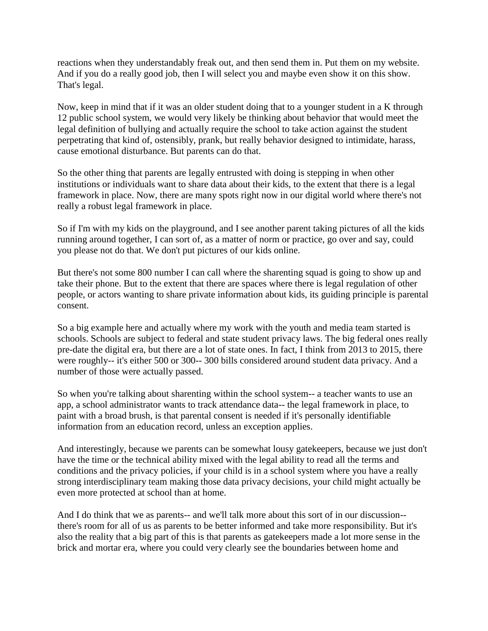reactions when they understandably freak out, and then send them in. Put them on my website. And if you do a really good job, then I will select you and maybe even show it on this show. That's legal.

Now, keep in mind that if it was an older student doing that to a younger student in a K through 12 public school system, we would very likely be thinking about behavior that would meet the legal definition of bullying and actually require the school to take action against the student perpetrating that kind of, ostensibly, prank, but really behavior designed to intimidate, harass, cause emotional disturbance. But parents can do that.

So the other thing that parents are legally entrusted with doing is stepping in when other institutions or individuals want to share data about their kids, to the extent that there is a legal framework in place. Now, there are many spots right now in our digital world where there's not really a robust legal framework in place.

So if I'm with my kids on the playground, and I see another parent taking pictures of all the kids running around together, I can sort of, as a matter of norm or practice, go over and say, could you please not do that. We don't put pictures of our kids online.

But there's not some 800 number I can call where the sharenting squad is going to show up and take their phone. But to the extent that there are spaces where there is legal regulation of other people, or actors wanting to share private information about kids, its guiding principle is parental consent.

So a big example here and actually where my work with the youth and media team started is schools. Schools are subject to federal and state student privacy laws. The big federal ones really pre-date the digital era, but there are a lot of state ones. In fact, I think from 2013 to 2015, there were roughly-- it's either 500 or 300-- 300 bills considered around student data privacy. And a number of those were actually passed.

So when you're talking about sharenting within the school system-- a teacher wants to use an app, a school administrator wants to track attendance data-- the legal framework in place, to paint with a broad brush, is that parental consent is needed if it's personally identifiable information from an education record, unless an exception applies.

And interestingly, because we parents can be somewhat lousy gatekeepers, because we just don't have the time or the technical ability mixed with the legal ability to read all the terms and conditions and the privacy policies, if your child is in a school system where you have a really strong interdisciplinary team making those data privacy decisions, your child might actually be even more protected at school than at home.

And I do think that we as parents-- and we'll talk more about this sort of in our discussion- there's room for all of us as parents to be better informed and take more responsibility. But it's also the reality that a big part of this is that parents as gatekeepers made a lot more sense in the brick and mortar era, where you could very clearly see the boundaries between home and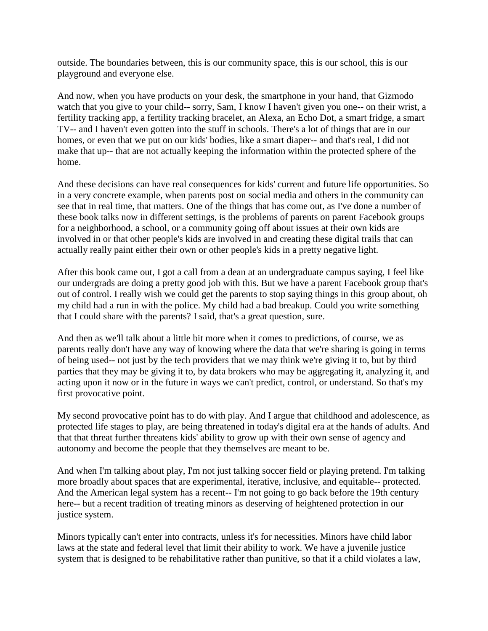outside. The boundaries between, this is our community space, this is our school, this is our playground and everyone else.

And now, when you have products on your desk, the smartphone in your hand, that Gizmodo watch that you give to your child-- sorry, Sam, I know I haven't given you one-- on their wrist, a fertility tracking app, a fertility tracking bracelet, an Alexa, an Echo Dot, a smart fridge, a smart TV-- and I haven't even gotten into the stuff in schools. There's a lot of things that are in our homes, or even that we put on our kids' bodies, like a smart diaper-- and that's real, I did not make that up-- that are not actually keeping the information within the protected sphere of the home.

And these decisions can have real consequences for kids' current and future life opportunities. So in a very concrete example, when parents post on social media and others in the community can see that in real time, that matters. One of the things that has come out, as I've done a number of these book talks now in different settings, is the problems of parents on parent Facebook groups for a neighborhood, a school, or a community going off about issues at their own kids are involved in or that other people's kids are involved in and creating these digital trails that can actually really paint either their own or other people's kids in a pretty negative light.

After this book came out, I got a call from a dean at an undergraduate campus saying, I feel like our undergrads are doing a pretty good job with this. But we have a parent Facebook group that's out of control. I really wish we could get the parents to stop saying things in this group about, oh my child had a run in with the police. My child had a bad breakup. Could you write something that I could share with the parents? I said, that's a great question, sure.

And then as we'll talk about a little bit more when it comes to predictions, of course, we as parents really don't have any way of knowing where the data that we're sharing is going in terms of being used-- not just by the tech providers that we may think we're giving it to, but by third parties that they may be giving it to, by data brokers who may be aggregating it, analyzing it, and acting upon it now or in the future in ways we can't predict, control, or understand. So that's my first provocative point.

My second provocative point has to do with play. And I argue that childhood and adolescence, as protected life stages to play, are being threatened in today's digital era at the hands of adults. And that that threat further threatens kids' ability to grow up with their own sense of agency and autonomy and become the people that they themselves are meant to be.

And when I'm talking about play, I'm not just talking soccer field or playing pretend. I'm talking more broadly about spaces that are experimental, iterative, inclusive, and equitable-- protected. And the American legal system has a recent-- I'm not going to go back before the 19th century here-- but a recent tradition of treating minors as deserving of heightened protection in our justice system.

Minors typically can't enter into contracts, unless it's for necessities. Minors have child labor laws at the state and federal level that limit their ability to work. We have a juvenile justice system that is designed to be rehabilitative rather than punitive, so that if a child violates a law,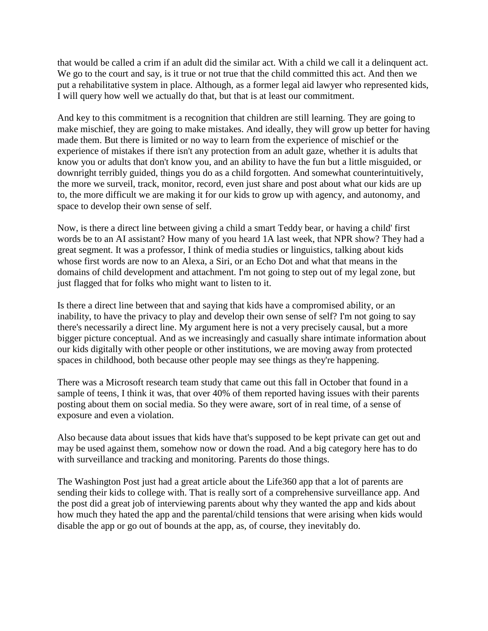that would be called a crim if an adult did the similar act. With a child we call it a delinquent act. We go to the court and say, is it true or not true that the child committed this act. And then we put a rehabilitative system in place. Although, as a former legal aid lawyer who represented kids, I will query how well we actually do that, but that is at least our commitment.

And key to this commitment is a recognition that children are still learning. They are going to make mischief, they are going to make mistakes. And ideally, they will grow up better for having made them. But there is limited or no way to learn from the experience of mischief or the experience of mistakes if there isn't any protection from an adult gaze, whether it is adults that know you or adults that don't know you, and an ability to have the fun but a little misguided, or downright terribly guided, things you do as a child forgotten. And somewhat counterintuitively, the more we surveil, track, monitor, record, even just share and post about what our kids are up to, the more difficult we are making it for our kids to grow up with agency, and autonomy, and space to develop their own sense of self.

Now, is there a direct line between giving a child a smart Teddy bear, or having a child' first words be to an AI assistant? How many of you heard 1A last week, that NPR show? They had a great segment. It was a professor, I think of media studies or linguistics, talking about kids whose first words are now to an Alexa, a Siri, or an Echo Dot and what that means in the domains of child development and attachment. I'm not going to step out of my legal zone, but just flagged that for folks who might want to listen to it.

Is there a direct line between that and saying that kids have a compromised ability, or an inability, to have the privacy to play and develop their own sense of self? I'm not going to say there's necessarily a direct line. My argument here is not a very precisely causal, but a more bigger picture conceptual. And as we increasingly and casually share intimate information about our kids digitally with other people or other institutions, we are moving away from protected spaces in childhood, both because other people may see things as they're happening.

There was a Microsoft research team study that came out this fall in October that found in a sample of teens, I think it was, that over 40% of them reported having issues with their parents posting about them on social media. So they were aware, sort of in real time, of a sense of exposure and even a violation.

Also because data about issues that kids have that's supposed to be kept private can get out and may be used against them, somehow now or down the road. And a big category here has to do with surveillance and tracking and monitoring. Parents do those things.

The Washington Post just had a great article about the Life360 app that a lot of parents are sending their kids to college with. That is really sort of a comprehensive surveillance app. And the post did a great job of interviewing parents about why they wanted the app and kids about how much they hated the app and the parental/child tensions that were arising when kids would disable the app or go out of bounds at the app, as, of course, they inevitably do.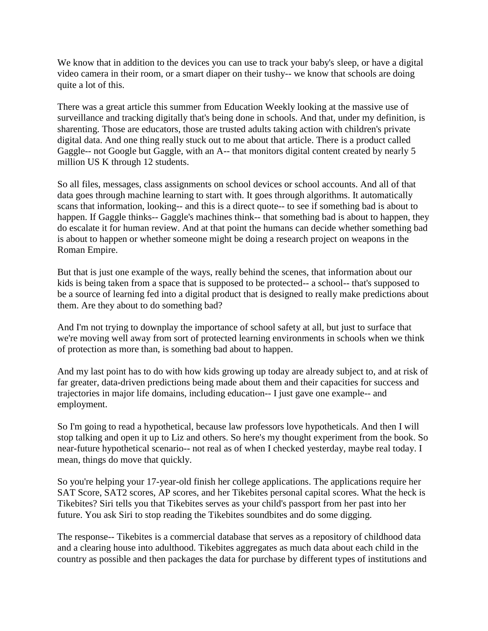We know that in addition to the devices you can use to track your baby's sleep, or have a digital video camera in their room, or a smart diaper on their tushy-- we know that schools are doing quite a lot of this.

There was a great article this summer from Education Weekly looking at the massive use of surveillance and tracking digitally that's being done in schools. And that, under my definition, is sharenting. Those are educators, those are trusted adults taking action with children's private digital data. And one thing really stuck out to me about that article. There is a product called Gaggle-- not Google but Gaggle, with an A-- that monitors digital content created by nearly 5 million US K through 12 students.

So all files, messages, class assignments on school devices or school accounts. And all of that data goes through machine learning to start with. It goes through algorithms. It automatically scans that information, looking-- and this is a direct quote-- to see if something bad is about to happen. If Gaggle thinks-- Gaggle's machines think-- that something bad is about to happen, they do escalate it for human review. And at that point the humans can decide whether something bad is about to happen or whether someone might be doing a research project on weapons in the Roman Empire.

But that is just one example of the ways, really behind the scenes, that information about our kids is being taken from a space that is supposed to be protected-- a school-- that's supposed to be a source of learning fed into a digital product that is designed to really make predictions about them. Are they about to do something bad?

And I'm not trying to downplay the importance of school safety at all, but just to surface that we're moving well away from sort of protected learning environments in schools when we think of protection as more than, is something bad about to happen.

And my last point has to do with how kids growing up today are already subject to, and at risk of far greater, data-driven predictions being made about them and their capacities for success and trajectories in major life domains, including education-- I just gave one example-- and employment.

So I'm going to read a hypothetical, because law professors love hypotheticals. And then I will stop talking and open it up to Liz and others. So here's my thought experiment from the book. So near-future hypothetical scenario-- not real as of when I checked yesterday, maybe real today. I mean, things do move that quickly.

So you're helping your 17-year-old finish her college applications. The applications require her SAT Score, SAT2 scores, AP scores, and her Tikebites personal capital scores. What the heck is Tikebites? Siri tells you that Tikebites serves as your child's passport from her past into her future. You ask Siri to stop reading the Tikebites soundbites and do some digging.

The response-- Tikebites is a commercial database that serves as a repository of childhood data and a clearing house into adulthood. Tikebites aggregates as much data about each child in the country as possible and then packages the data for purchase by different types of institutions and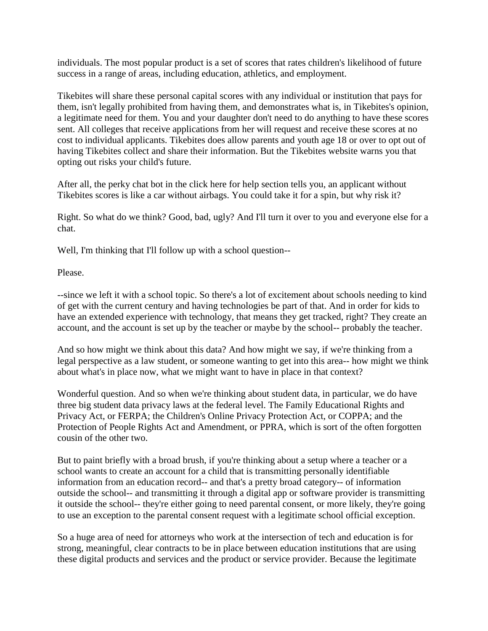individuals. The most popular product is a set of scores that rates children's likelihood of future success in a range of areas, including education, athletics, and employment.

Tikebites will share these personal capital scores with any individual or institution that pays for them, isn't legally prohibited from having them, and demonstrates what is, in Tikebites's opinion, a legitimate need for them. You and your daughter don't need to do anything to have these scores sent. All colleges that receive applications from her will request and receive these scores at no cost to individual applicants. Tikebites does allow parents and youth age 18 or over to opt out of having Tikebites collect and share their information. But the Tikebites website warns you that opting out risks your child's future.

After all, the perky chat bot in the click here for help section tells you, an applicant without Tikebites scores is like a car without airbags. You could take it for a spin, but why risk it?

Right. So what do we think? Good, bad, ugly? And I'll turn it over to you and everyone else for a chat.

Well, I'm thinking that I'll follow up with a school question--

Please.

--since we left it with a school topic. So there's a lot of excitement about schools needing to kind of get with the current century and having technologies be part of that. And in order for kids to have an extended experience with technology, that means they get tracked, right? They create an account, and the account is set up by the teacher or maybe by the school-- probably the teacher.

And so how might we think about this data? And how might we say, if we're thinking from a legal perspective as a law student, or someone wanting to get into this area-- how might we think about what's in place now, what we might want to have in place in that context?

Wonderful question. And so when we're thinking about student data, in particular, we do have three big student data privacy laws at the federal level. The Family Educational Rights and Privacy Act, or FERPA; the Children's Online Privacy Protection Act, or COPPA; and the Protection of People Rights Act and Amendment, or PPRA, which is sort of the often forgotten cousin of the other two.

But to paint briefly with a broad brush, if you're thinking about a setup where a teacher or a school wants to create an account for a child that is transmitting personally identifiable information from an education record-- and that's a pretty broad category-- of information outside the school-- and transmitting it through a digital app or software provider is transmitting it outside the school-- they're either going to need parental consent, or more likely, they're going to use an exception to the parental consent request with a legitimate school official exception.

So a huge area of need for attorneys who work at the intersection of tech and education is for strong, meaningful, clear contracts to be in place between education institutions that are using these digital products and services and the product or service provider. Because the legitimate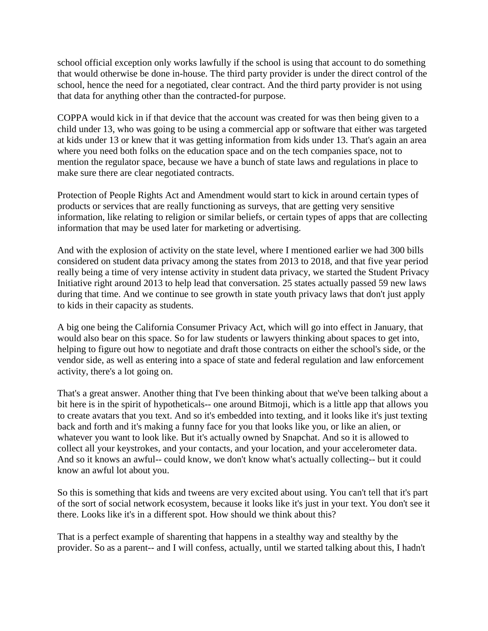school official exception only works lawfully if the school is using that account to do something that would otherwise be done in-house. The third party provider is under the direct control of the school, hence the need for a negotiated, clear contract. And the third party provider is not using that data for anything other than the contracted-for purpose.

COPPA would kick in if that device that the account was created for was then being given to a child under 13, who was going to be using a commercial app or software that either was targeted at kids under 13 or knew that it was getting information from kids under 13. That's again an area where you need both folks on the education space and on the tech companies space, not to mention the regulator space, because we have a bunch of state laws and regulations in place to make sure there are clear negotiated contracts.

Protection of People Rights Act and Amendment would start to kick in around certain types of products or services that are really functioning as surveys, that are getting very sensitive information, like relating to religion or similar beliefs, or certain types of apps that are collecting information that may be used later for marketing or advertising.

And with the explosion of activity on the state level, where I mentioned earlier we had 300 bills considered on student data privacy among the states from 2013 to 2018, and that five year period really being a time of very intense activity in student data privacy, we started the Student Privacy Initiative right around 2013 to help lead that conversation. 25 states actually passed 59 new laws during that time. And we continue to see growth in state youth privacy laws that don't just apply to kids in their capacity as students.

A big one being the California Consumer Privacy Act, which will go into effect in January, that would also bear on this space. So for law students or lawyers thinking about spaces to get into, helping to figure out how to negotiate and draft those contracts on either the school's side, or the vendor side, as well as entering into a space of state and federal regulation and law enforcement activity, there's a lot going on.

That's a great answer. Another thing that I've been thinking about that we've been talking about a bit here is in the spirit of hypotheticals-- one around Bitmoji, which is a little app that allows you to create avatars that you text. And so it's embedded into texting, and it looks like it's just texting back and forth and it's making a funny face for you that looks like you, or like an alien, or whatever you want to look like. But it's actually owned by Snapchat. And so it is allowed to collect all your keystrokes, and your contacts, and your location, and your accelerometer data. And so it knows an awful-- could know, we don't know what's actually collecting-- but it could know an awful lot about you.

So this is something that kids and tweens are very excited about using. You can't tell that it's part of the sort of social network ecosystem, because it looks like it's just in your text. You don't see it there. Looks like it's in a different spot. How should we think about this?

That is a perfect example of sharenting that happens in a stealthy way and stealthy by the provider. So as a parent-- and I will confess, actually, until we started talking about this, I hadn't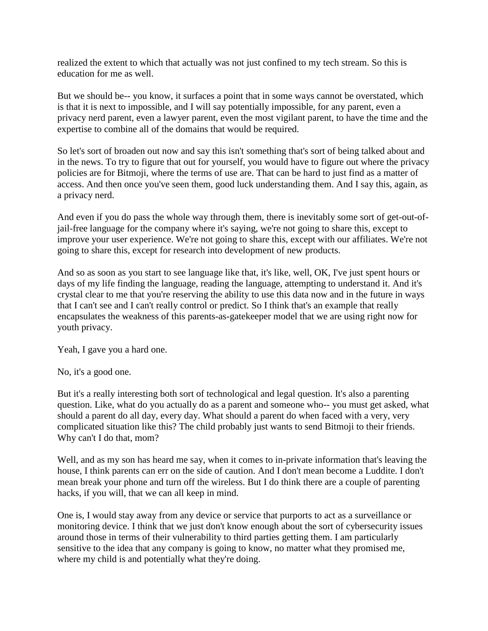realized the extent to which that actually was not just confined to my tech stream. So this is education for me as well.

But we should be-- you know, it surfaces a point that in some ways cannot be overstated, which is that it is next to impossible, and I will say potentially impossible, for any parent, even a privacy nerd parent, even a lawyer parent, even the most vigilant parent, to have the time and the expertise to combine all of the domains that would be required.

So let's sort of broaden out now and say this isn't something that's sort of being talked about and in the news. To try to figure that out for yourself, you would have to figure out where the privacy policies are for Bitmoji, where the terms of use are. That can be hard to just find as a matter of access. And then once you've seen them, good luck understanding them. And I say this, again, as a privacy nerd.

And even if you do pass the whole way through them, there is inevitably some sort of get-out-ofjail-free language for the company where it's saying, we're not going to share this, except to improve your user experience. We're not going to share this, except with our affiliates. We're not going to share this, except for research into development of new products.

And so as soon as you start to see language like that, it's like, well, OK, I've just spent hours or days of my life finding the language, reading the language, attempting to understand it. And it's crystal clear to me that you're reserving the ability to use this data now and in the future in ways that I can't see and I can't really control or predict. So I think that's an example that really encapsulates the weakness of this parents-as-gatekeeper model that we are using right now for youth privacy.

Yeah, I gave you a hard one.

No, it's a good one.

But it's a really interesting both sort of technological and legal question. It's also a parenting question. Like, what do you actually do as a parent and someone who-- you must get asked, what should a parent do all day, every day. What should a parent do when faced with a very, very complicated situation like this? The child probably just wants to send Bitmoji to their friends. Why can't I do that, mom?

Well, and as my son has heard me say, when it comes to in-private information that's leaving the house, I think parents can err on the side of caution. And I don't mean become a Luddite. I don't mean break your phone and turn off the wireless. But I do think there are a couple of parenting hacks, if you will, that we can all keep in mind.

One is, I would stay away from any device or service that purports to act as a surveillance or monitoring device. I think that we just don't know enough about the sort of cybersecurity issues around those in terms of their vulnerability to third parties getting them. I am particularly sensitive to the idea that any company is going to know, no matter what they promised me, where my child is and potentially what they're doing.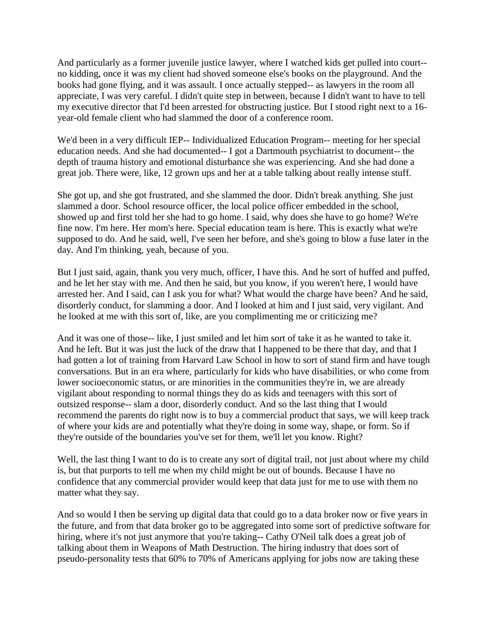And particularly as a former juvenile justice lawyer, where I watched kids get pulled into court- no kidding, once it was my client had shoved someone else's books on the playground. And the books had gone flying, and it was assault. I once actually stepped-- as lawyers in the room all appreciate, I was very careful. I didn't quite step in between, because I didn't want to have to tell my executive director that I'd been arrested for obstructing justice. But I stood right next to a 16 year-old female client who had slammed the door of a conference room.

We'd been in a very difficult IEP-- Individualized Education Program-- meeting for her special education needs. And she had documented-- I got a Dartmouth psychiatrist to document-- the depth of trauma history and emotional disturbance she was experiencing. And she had done a great job. There were, like, 12 grown ups and her at a table talking about really intense stuff.

She got up, and she got frustrated, and she slammed the door. Didn't break anything. She just slammed a door. School resource officer, the local police officer embedded in the school, showed up and first told her she had to go home. I said, why does she have to go home? We're fine now. I'm here. Her mom's here. Special education team is here. This is exactly what we're supposed to do. And he said, well, I've seen her before, and she's going to blow a fuse later in the day. And I'm thinking, yeah, because of you.

But I just said, again, thank you very much, officer, I have this. And he sort of huffed and puffed, and he let her stay with me. And then he said, but you know, if you weren't here, I would have arrested her. And I said, can I ask you for what? What would the charge have been? And he said, disorderly conduct, for slamming a door. And I looked at him and I just said, very vigilant. And he looked at me with this sort of, like, are you complimenting me or criticizing me?

And it was one of those-- like, I just smiled and let him sort of take it as he wanted to take it. And he left. But it was just the luck of the draw that I happened to be there that day, and that I had gotten a lot of training from Harvard Law School in how to sort of stand firm and have tough conversations. But in an era where, particularly for kids who have disabilities, or who come from lower socioeconomic status, or are minorities in the communities they're in, we are already vigilant about responding to normal things they do as kids and teenagers with this sort of outsized response-- slam a door, disorderly conduct. And so the last thing that I would recommend the parents do right now is to buy a commercial product that says, we will keep track of where your kids are and potentially what they're doing in some way, shape, or form. So if they're outside of the boundaries you've set for them, we'll let you know. Right?

Well, the last thing I want to do is to create any sort of digital trail, not just about where my child is, but that purports to tell me when my child might be out of bounds. Because I have no confidence that any commercial provider would keep that data just for me to use with them no matter what they say.

And so would I then be serving up digital data that could go to a data broker now or five years in the future, and from that data broker go to be aggregated into some sort of predictive software for hiring, where it's not just anymore that you're taking-- Cathy O'Neil talk does a great job of talking about them in Weapons of Math Destruction. The hiring industry that does sort of pseudo-personality tests that 60% to 70% of Americans applying for jobs now are taking these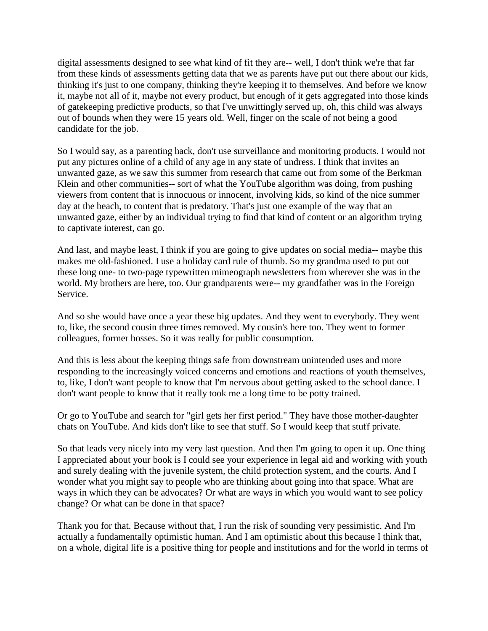digital assessments designed to see what kind of fit they are-- well, I don't think we're that far from these kinds of assessments getting data that we as parents have put out there about our kids, thinking it's just to one company, thinking they're keeping it to themselves. And before we know it, maybe not all of it, maybe not every product, but enough of it gets aggregated into those kinds of gatekeeping predictive products, so that I've unwittingly served up, oh, this child was always out of bounds when they were 15 years old. Well, finger on the scale of not being a good candidate for the job.

So I would say, as a parenting hack, don't use surveillance and monitoring products. I would not put any pictures online of a child of any age in any state of undress. I think that invites an unwanted gaze, as we saw this summer from research that came out from some of the Berkman Klein and other communities-- sort of what the YouTube algorithm was doing, from pushing viewers from content that is innocuous or innocent, involving kids, so kind of the nice summer day at the beach, to content that is predatory. That's just one example of the way that an unwanted gaze, either by an individual trying to find that kind of content or an algorithm trying to captivate interest, can go.

And last, and maybe least, I think if you are going to give updates on social media-- maybe this makes me old-fashioned. I use a holiday card rule of thumb. So my grandma used to put out these long one- to two-page typewritten mimeograph newsletters from wherever she was in the world. My brothers are here, too. Our grandparents were-- my grandfather was in the Foreign Service.

And so she would have once a year these big updates. And they went to everybody. They went to, like, the second cousin three times removed. My cousin's here too. They went to former colleagues, former bosses. So it was really for public consumption.

And this is less about the keeping things safe from downstream unintended uses and more responding to the increasingly voiced concerns and emotions and reactions of youth themselves, to, like, I don't want people to know that I'm nervous about getting asked to the school dance. I don't want people to know that it really took me a long time to be potty trained.

Or go to YouTube and search for "girl gets her first period." They have those mother-daughter chats on YouTube. And kids don't like to see that stuff. So I would keep that stuff private.

So that leads very nicely into my very last question. And then I'm going to open it up. One thing I appreciated about your book is I could see your experience in legal aid and working with youth and surely dealing with the juvenile system, the child protection system, and the courts. And I wonder what you might say to people who are thinking about going into that space. What are ways in which they can be advocates? Or what are ways in which you would want to see policy change? Or what can be done in that space?

Thank you for that. Because without that, I run the risk of sounding very pessimistic. And I'm actually a fundamentally optimistic human. And I am optimistic about this because I think that, on a whole, digital life is a positive thing for people and institutions and for the world in terms of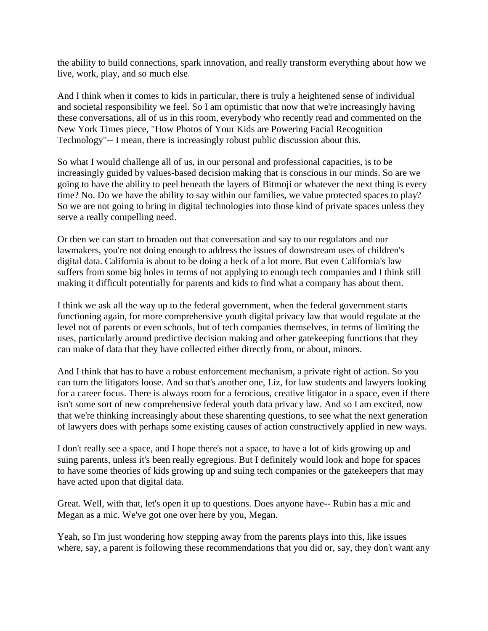the ability to build connections, spark innovation, and really transform everything about how we live, work, play, and so much else.

And I think when it comes to kids in particular, there is truly a heightened sense of individual and societal responsibility we feel. So I am optimistic that now that we're increasingly having these conversations, all of us in this room, everybody who recently read and commented on the New York Times piece, "How Photos of Your Kids are Powering Facial Recognition Technology"-- I mean, there is increasingly robust public discussion about this.

So what I would challenge all of us, in our personal and professional capacities, is to be increasingly guided by values-based decision making that is conscious in our minds. So are we going to have the ability to peel beneath the layers of Bitmoji or whatever the next thing is every time? No. Do we have the ability to say within our families, we value protected spaces to play? So we are not going to bring in digital technologies into those kind of private spaces unless they serve a really compelling need.

Or then we can start to broaden out that conversation and say to our regulators and our lawmakers, you're not doing enough to address the issues of downstream uses of children's digital data. California is about to be doing a heck of a lot more. But even California's law suffers from some big holes in terms of not applying to enough tech companies and I think still making it difficult potentially for parents and kids to find what a company has about them.

I think we ask all the way up to the federal government, when the federal government starts functioning again, for more comprehensive youth digital privacy law that would regulate at the level not of parents or even schools, but of tech companies themselves, in terms of limiting the uses, particularly around predictive decision making and other gatekeeping functions that they can make of data that they have collected either directly from, or about, minors.

And I think that has to have a robust enforcement mechanism, a private right of action. So you can turn the litigators loose. And so that's another one, Liz, for law students and lawyers looking for a career focus. There is always room for a ferocious, creative litigator in a space, even if there isn't some sort of new comprehensive federal youth data privacy law. And so I am excited, now that we're thinking increasingly about these sharenting questions, to see what the next generation of lawyers does with perhaps some existing causes of action constructively applied in new ways.

I don't really see a space, and I hope there's not a space, to have a lot of kids growing up and suing parents, unless it's been really egregious. But I definitely would look and hope for spaces to have some theories of kids growing up and suing tech companies or the gatekeepers that may have acted upon that digital data.

Great. Well, with that, let's open it up to questions. Does anyone have-- Rubin has a mic and Megan as a mic. We've got one over here by you, Megan.

Yeah, so I'm just wondering how stepping away from the parents plays into this, like issues where, say, a parent is following these recommendations that you did or, say, they don't want any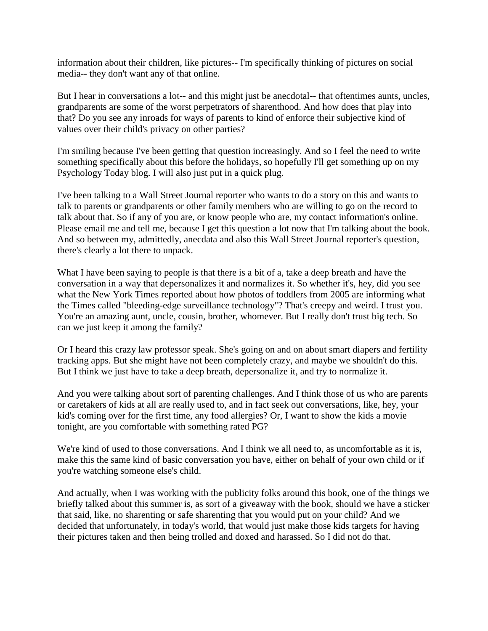information about their children, like pictures-- I'm specifically thinking of pictures on social media-- they don't want any of that online.

But I hear in conversations a lot-- and this might just be anecdotal-- that oftentimes aunts, uncles, grandparents are some of the worst perpetrators of sharenthood. And how does that play into that? Do you see any inroads for ways of parents to kind of enforce their subjective kind of values over their child's privacy on other parties?

I'm smiling because I've been getting that question increasingly. And so I feel the need to write something specifically about this before the holidays, so hopefully I'll get something up on my Psychology Today blog. I will also just put in a quick plug.

I've been talking to a Wall Street Journal reporter who wants to do a story on this and wants to talk to parents or grandparents or other family members who are willing to go on the record to talk about that. So if any of you are, or know people who are, my contact information's online. Please email me and tell me, because I get this question a lot now that I'm talking about the book. And so between my, admittedly, anecdata and also this Wall Street Journal reporter's question, there's clearly a lot there to unpack.

What I have been saying to people is that there is a bit of a, take a deep breath and have the conversation in a way that depersonalizes it and normalizes it. So whether it's, hey, did you see what the New York Times reported about how photos of toddlers from 2005 are informing what the Times called "bleeding-edge surveillance technology"? That's creepy and weird. I trust you. You're an amazing aunt, uncle, cousin, brother, whomever. But I really don't trust big tech. So can we just keep it among the family?

Or I heard this crazy law professor speak. She's going on and on about smart diapers and fertility tracking apps. But she might have not been completely crazy, and maybe we shouldn't do this. But I think we just have to take a deep breath, depersonalize it, and try to normalize it.

And you were talking about sort of parenting challenges. And I think those of us who are parents or caretakers of kids at all are really used to, and in fact seek out conversations, like, hey, your kid's coming over for the first time, any food allergies? Or, I want to show the kids a movie tonight, are you comfortable with something rated PG?

We're kind of used to those conversations. And I think we all need to, as uncomfortable as it is, make this the same kind of basic conversation you have, either on behalf of your own child or if you're watching someone else's child.

And actually, when I was working with the publicity folks around this book, one of the things we briefly talked about this summer is, as sort of a giveaway with the book, should we have a sticker that said, like, no sharenting or safe sharenting that you would put on your child? And we decided that unfortunately, in today's world, that would just make those kids targets for having their pictures taken and then being trolled and doxed and harassed. So I did not do that.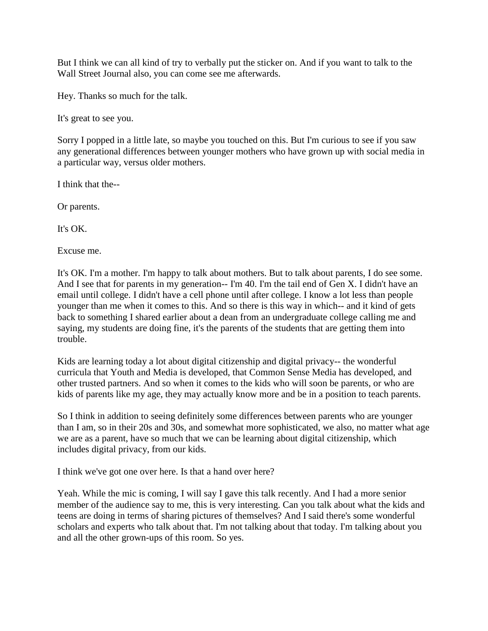But I think we can all kind of try to verbally put the sticker on. And if you want to talk to the Wall Street Journal also, you can come see me afterwards.

Hey. Thanks so much for the talk.

It's great to see you.

Sorry I popped in a little late, so maybe you touched on this. But I'm curious to see if you saw any generational differences between younger mothers who have grown up with social media in a particular way, versus older mothers.

I think that the--

Or parents.

It's OK.

Excuse me.

It's OK. I'm a mother. I'm happy to talk about mothers. But to talk about parents, I do see some. And I see that for parents in my generation-- I'm 40. I'm the tail end of Gen X. I didn't have an email until college. I didn't have a cell phone until after college. I know a lot less than people younger than me when it comes to this. And so there is this way in which-- and it kind of gets back to something I shared earlier about a dean from an undergraduate college calling me and saying, my students are doing fine, it's the parents of the students that are getting them into trouble.

Kids are learning today a lot about digital citizenship and digital privacy-- the wonderful curricula that Youth and Media is developed, that Common Sense Media has developed, and other trusted partners. And so when it comes to the kids who will soon be parents, or who are kids of parents like my age, they may actually know more and be in a position to teach parents.

So I think in addition to seeing definitely some differences between parents who are younger than I am, so in their 20s and 30s, and somewhat more sophisticated, we also, no matter what age we are as a parent, have so much that we can be learning about digital citizenship, which includes digital privacy, from our kids.

I think we've got one over here. Is that a hand over here?

Yeah. While the mic is coming, I will say I gave this talk recently. And I had a more senior member of the audience say to me, this is very interesting. Can you talk about what the kids and teens are doing in terms of sharing pictures of themselves? And I said there's some wonderful scholars and experts who talk about that. I'm not talking about that today. I'm talking about you and all the other grown-ups of this room. So yes.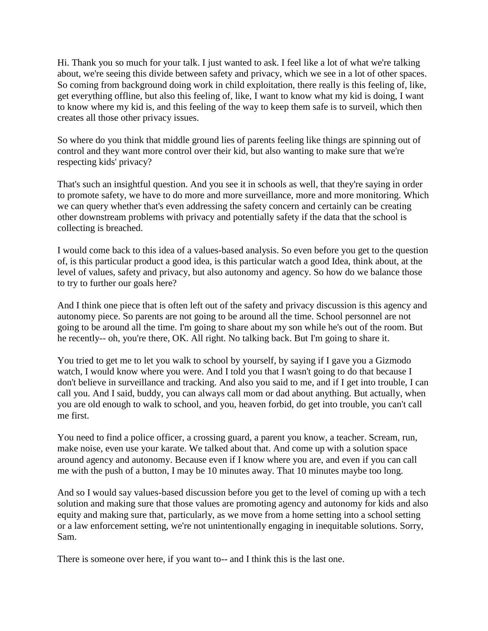Hi. Thank you so much for your talk. I just wanted to ask. I feel like a lot of what we're talking about, we're seeing this divide between safety and privacy, which we see in a lot of other spaces. So coming from background doing work in child exploitation, there really is this feeling of, like, get everything offline, but also this feeling of, like, I want to know what my kid is doing, I want to know where my kid is, and this feeling of the way to keep them safe is to surveil, which then creates all those other privacy issues.

So where do you think that middle ground lies of parents feeling like things are spinning out of control and they want more control over their kid, but also wanting to make sure that we're respecting kids' privacy?

That's such an insightful question. And you see it in schools as well, that they're saying in order to promote safety, we have to do more and more surveillance, more and more monitoring. Which we can query whether that's even addressing the safety concern and certainly can be creating other downstream problems with privacy and potentially safety if the data that the school is collecting is breached.

I would come back to this idea of a values-based analysis. So even before you get to the question of, is this particular product a good idea, is this particular watch a good Idea, think about, at the level of values, safety and privacy, but also autonomy and agency. So how do we balance those to try to further our goals here?

And I think one piece that is often left out of the safety and privacy discussion is this agency and autonomy piece. So parents are not going to be around all the time. School personnel are not going to be around all the time. I'm going to share about my son while he's out of the room. But he recently-- oh, you're there, OK. All right. No talking back. But I'm going to share it.

You tried to get me to let you walk to school by yourself, by saying if I gave you a Gizmodo watch, I would know where you were. And I told you that I wasn't going to do that because I don't believe in surveillance and tracking. And also you said to me, and if I get into trouble, I can call you. And I said, buddy, you can always call mom or dad about anything. But actually, when you are old enough to walk to school, and you, heaven forbid, do get into trouble, you can't call me first.

You need to find a police officer, a crossing guard, a parent you know, a teacher. Scream, run, make noise, even use your karate. We talked about that. And come up with a solution space around agency and autonomy. Because even if I know where you are, and even if you can call me with the push of a button, I may be 10 minutes away. That 10 minutes maybe too long.

And so I would say values-based discussion before you get to the level of coming up with a tech solution and making sure that those values are promoting agency and autonomy for kids and also equity and making sure that, particularly, as we move from a home setting into a school setting or a law enforcement setting, we're not unintentionally engaging in inequitable solutions. Sorry, Sam.

There is someone over here, if you want to-- and I think this is the last one.